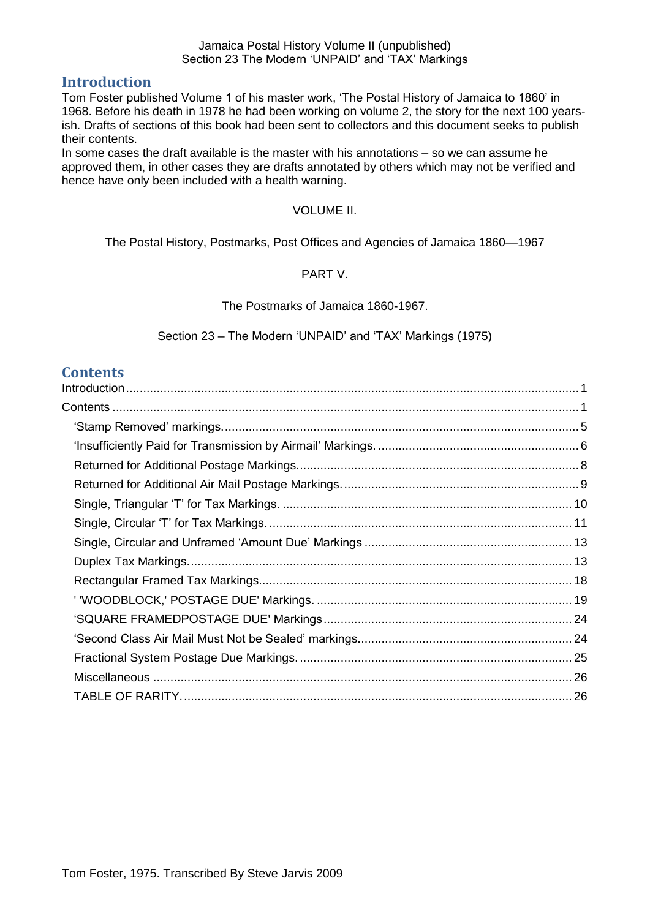#### <span id="page-0-0"></span>**Introduction**

Tom Foster published Volume 1 of his master work, 'The Postal History of Jamaica to 1860' in 1968. Before his death in 1978 he had been working on volume 2, the story for the next 100 yearsish. Drafts of sections of this book had been sent to collectors and this document seeks to publish their contents.

In some cases the draft available is the master with his annotations – so we can assume he approved them, in other cases they are drafts annotated by others which may not be verified and hence have only been included with a health warning.

#### VOLUME II.

The Postal History, Postmarks, Post Offices and Agencies of Jamaica 1860—1967

#### PART V.

#### The Postmarks of Jamaica 1860-1967.

Section 23 – The Modern 'UNPAID' and 'TAX' Markings (1975)

#### <span id="page-0-1"></span>**Contents**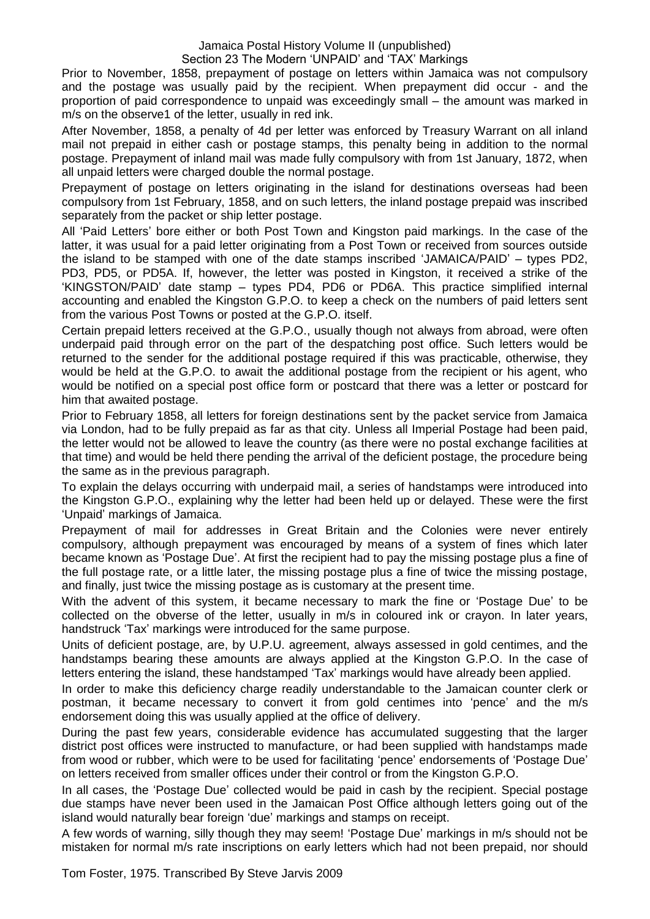Prior to November, 1858, prepayment of postage on letters within Jamaica was not compulsory and the postage was usually paid by the recipient. When prepayment did occur - and the proportion of paid correspondence to unpaid was exceedingly small – the amount was marked in m/s on the observe1 of the letter, usually in red ink.

After November, 1858, a penalty of 4d per letter was enforced by Treasury Warrant on all inland mail not prepaid in either cash or postage stamps, this penalty being in addition to the normal postage. Prepayment of inland mail was made fully compulsory with from 1st January, 1872, when all unpaid letters were charged double the normal postage.

Prepayment of postage on letters originating in the island for destinations overseas had been compulsory from 1st February, 1858, and on such letters, the inland postage prepaid was inscribed separately from the packet or ship letter postage.

All 'Paid Letters' bore either or both Post Town and Kingston paid markings. In the case of the latter, it was usual for a paid letter originating from a Post Town or received from sources outside the island to be stamped with one of the date stamps inscribed 'JAMAICA/PAID' – types PD2, PD3, PD5, or PD5A. If, however, the letter was posted in Kingston, it received a strike of the 'KINGSTON/PAID' date stamp – types PD4, PD6 or PD6A. This practice simplified internal accounting and enabled the Kingston G.P.O. to keep a check on the numbers of paid letters sent from the various Post Towns or posted at the G.P.O. itself.

Certain prepaid letters received at the G.P.O., usually though not always from abroad, were often underpaid paid through error on the part of the despatching post office. Such letters would be returned to the sender for the additional postage required if this was practicable, otherwise, they would be held at the G.P.O. to await the additional postage from the recipient or his agent, who would be notified on a special post office form or postcard that there was a letter or postcard for him that awaited postage.

Prior to February 1858, all letters for foreign destinations sent by the packet service from Jamaica via London, had to be fully prepaid as far as that city. Unless all Imperial Postage had been paid, the letter would not be allowed to leave the country (as there were no postal exchange facilities at that time) and would be held there pending the arrival of the deficient postage, the procedure being the same as in the previous paragraph.

To explain the delays occurring with underpaid mail, a series of handstamps were introduced into the Kingston G.P.O., explaining why the letter had been held up or delayed. These were the first 'Unpaid' markings of Jamaica.

Prepayment of mail for addresses in Great Britain and the Colonies were never entirely compulsory, although prepayment was encouraged by means of a system of fines which later became known as 'Postage Due'. At first the recipient had to pay the missing postage plus a fine of the full postage rate, or a little later, the missing postage plus a fine of twice the missing postage, and finally, just twice the missing postage as is customary at the present time.

With the advent of this system, it became necessary to mark the fine or 'Postage Due' to be collected on the obverse of the letter, usually in m/s in coloured ink or crayon. In later years, handstruck 'Tax' markings were introduced for the same purpose.

Units of deficient postage, are, by U.P.U. agreement, always assessed in gold centimes, and the handstamps bearing these amounts are always applied at the Kingston G.P.O. In the case of letters entering the island, these handstamped 'Tax' markings would have already been applied.

In order to make this deficiency charge readily understandable to the Jamaican counter clerk or postman, it became necessary to convert it from gold centimes into 'pence' and the m/s endorsement doing this was usually applied at the office of delivery.

During the past few years, considerable evidence has accumulated suggesting that the larger district post offices were instructed to manufacture, or had been supplied with handstamps made from wood or rubber, which were to be used for facilitating 'pence' endorsements of 'Postage Due' on letters received from smaller offices under their control or from the Kingston G.P.O.

In all cases, the 'Postage Due' collected would be paid in cash by the recipient. Special postage due stamps have never been used in the Jamaican Post Office although letters going out of the island would naturally bear foreign 'due' markings and stamps on receipt.

A few words of warning, silly though they may seem! 'Postage Due' markings in m/s should not be mistaken for normal m/s rate inscriptions on early letters which had not been prepaid, nor should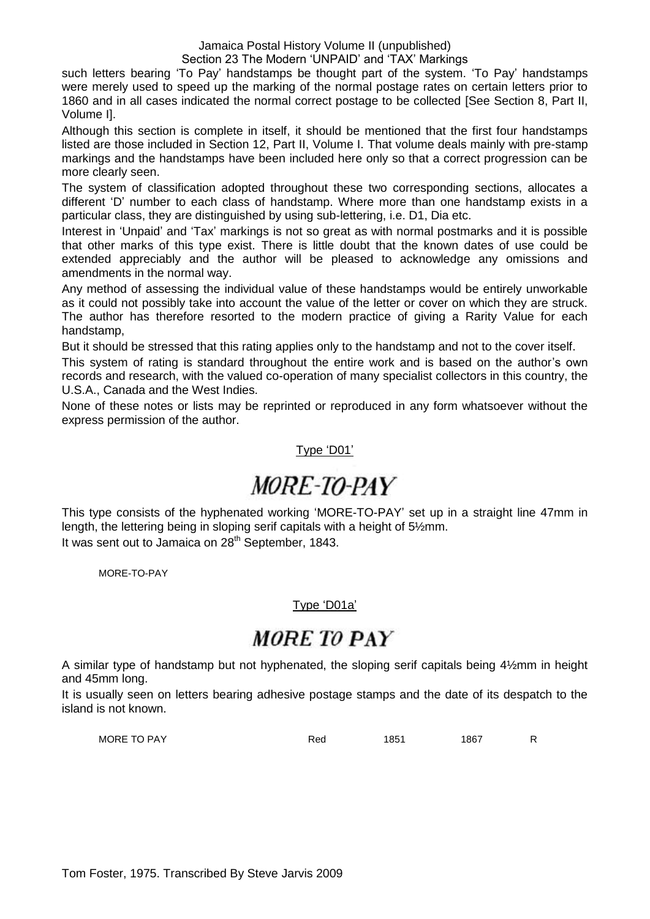#### Jamaica Postal History Volume II (unpublished)

#### Section 23 The Modern 'UNPAID' and 'TAX' Markings

such letters bearing 'To Pay' handstamps be thought part of the system. 'To Pay' handstamps were merely used to speed up the marking of the normal postage rates on certain letters prior to 1860 and in all cases indicated the normal correct postage to be collected [See Section 8, Part II, Volume I].

Although this section is complete in itself, it should be mentioned that the first four handstamps listed are those included in Section 12, Part II, Volume I. That volume deals mainly with pre-stamp markings and the handstamps have been included here only so that a correct progression can be more clearly seen.

The system of classification adopted throughout these two corresponding sections, allocates a different 'D' number to each class of handstamp. Where more than one handstamp exists in a particular class, they are distinguished by using sub-lettering, i.e. D1, Dia etc.

Interest in 'Unpaid' and 'Tax' markings is not so great as with normal postmarks and it is possible that other marks of this type exist. There is little doubt that the known dates of use could be extended appreciably and the author will be pleased to acknowledge any omissions and amendments in the normal way.

Any method of assessing the individual value of these handstamps would be entirely unworkable as it could not possibly take into account the value of the letter or cover on which they are struck. The author has therefore resorted to the modern practice of giving a Rarity Value for each handstamp,

But it should be stressed that this rating applies only to the handstamp and not to the cover itself.

This system of rating is standard throughout the entire work and is based on the author's own records and research, with the valued co-operation of many specialist collectors in this country, the U.S.A., Canada and the West Indies.

None of these notes or lists may be reprinted or reproduced in any form whatsoever without the express permission of the author.

#### Type 'D01'

# MORE-TO-PAY

This type consists of the hyphenated working 'MORE-TO-PAY' set up in a straight line 47mm in length, the lettering being in sloping serif capitals with a height of 5½mm. It was sent out to Jamaica on  $28<sup>th</sup>$  September, 1843.

MORE-TO-PAY

#### Type 'D01a'

## **MORE TO PAY**

A similar type of handstamp but not hyphenated, the sloping serif capitals being 4½mm in height and 45mm long.

It is usually seen on letters bearing adhesive postage stamps and the date of its despatch to the island is not known.

MORE TO PAY **Red 1851** 1867 R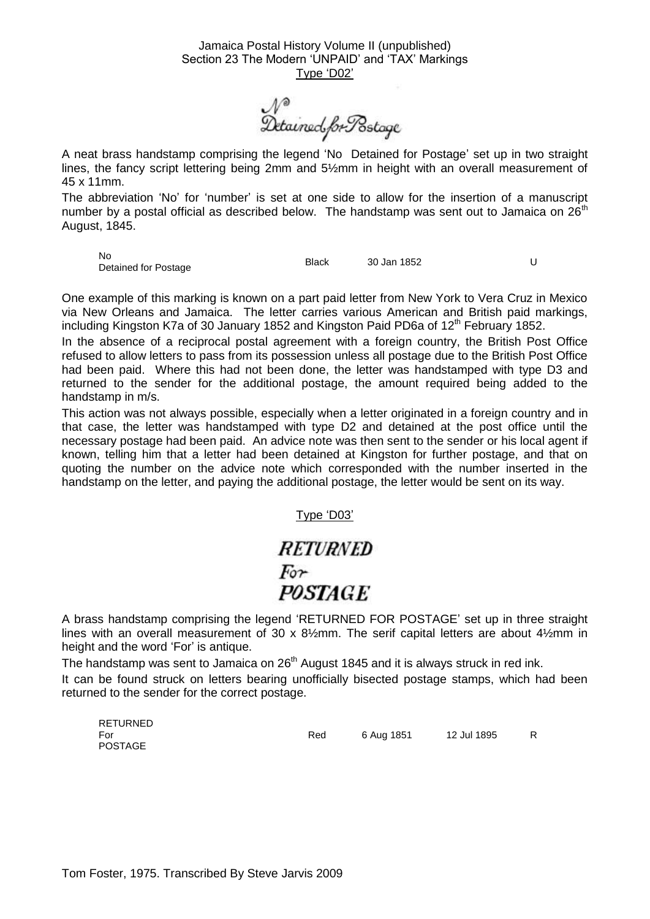N<sup>®</sup><br>Detained.forPostage

A neat brass handstamp comprising the legend 'No Detained for Postage' set up in two straight lines, the fancy script lettering being 2mm and 5½mm in height with an overall measurement of 45 x 11mm.

The abbreviation 'No' for 'number' is set at one side to allow for the insertion of a manuscript number by a postal official as described below. The handstamp was sent out to Jamaica on  $26<sup>th</sup>$ August, 1845.

No

Detained for Postage Black 30 Jan 1852 <sup>U</sup>

One example of this marking is known on a part paid letter from New York to Vera Cruz in Mexico via New Orleans and Jamaica. The letter carries various American and British paid markings, including Kingston K7a of 30 January 1852 and Kingston Paid PD6a of  $12<sup>th</sup>$  February 1852.

In the absence of a reciprocal postal agreement with a foreign country, the British Post Office refused to allow letters to pass from its possession unless all postage due to the British Post Office had been paid. Where this had not been done, the letter was handstamped with type D3 and returned to the sender for the additional postage, the amount required being added to the handstamp in m/s.

This action was not always possible, especially when a letter originated in a foreign country and in that case, the letter was handstamped with type D2 and detained at the post office until the necessary postage had been paid. An advice note was then sent to the sender or his local agent if known, telling him that a letter had been detained at Kingston for further postage, and that on quoting the number on the advice note which corresponded with the number inserted in the handstamp on the letter, and paying the additional postage, the letter would be sent on its way.

Type 'D03'

### **RETURNED**  $For$ **POSTAGE**

A brass handstamp comprising the legend 'RETURNED FOR POSTAGE' set up in three straight lines with an overall measurement of 30 x 8½mm. The serif capital letters are about 4½mm in height and the word 'For' is antique.

The handstamp was sent to Jamaica on 26<sup>th</sup> August 1845 and it is always struck in red ink.

It can be found struck on letters bearing unofficially bisected postage stamps, which had been returned to the sender for the correct postage.

RETURNED For POSTAGE Red 6 Aug 1851 12 Jul 1895 R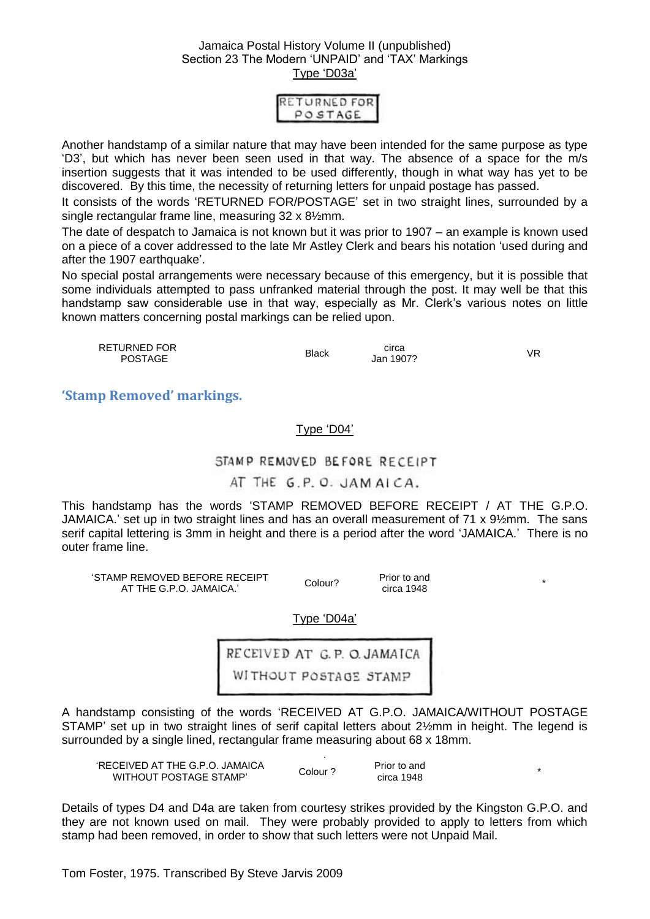| RETURNED FOR<br>POSTAGE |
|-------------------------|
|                         |

Another handstamp of a similar nature that may have been intended for the same purpose as type 'D3', but which has never been seen used in that way. The absence of a space for the m/s insertion suggests that it was intended to be used differently, though in what way has yet to be discovered. By this time, the necessity of returning letters for unpaid postage has passed.

It consists of the words 'RETURNED FOR/POSTAGE' set in two straight lines, surrounded by a single rectangular frame line, measuring 32 x 8½mm.

The date of despatch to Jamaica is not known but it was prior to 1907 – an example is known used on a piece of a cover addressed to the late Mr Astley Clerk and bears his notation 'used during and after the 1907 earthquake'.

No special postal arrangements were necessary because of this emergency, but it is possible that some individuals attempted to pass unfranked material through the post. It may well be that this handstamp saw considerable use in that way, especially as Mr. Clerk's various notes on little known matters concerning postal markings can be relied upon.

| RETURNED FOR<br><b>POSTAGE</b> | Black | circa<br>Jan 1907? | VR |
|--------------------------------|-------|--------------------|----|
|                                |       |                    |    |

<span id="page-4-0"></span>**'Stamp Removed' markings.**

#### Type 'D04'

#### STAMP REMOVED BEFORE RECEIPT

#### AT THE G.P.O. JAM AICA.

This handstamp has the words 'STAMP REMOVED BEFORE RECEIPT / AT THE G.P.O. JAMAICA.' set up in two straight lines and has an overall measurement of 71 x 9½mm. The sans serif capital lettering is 3mm in height and there is a period after the word 'JAMAICA.' There is no outer frame line.

'STAMP REMOVED BEFORE RECEIPT AT THE G.P.O. JAMAICA.' Colour?

circa 1948 \*

Prior to and

Type 'D04a'

RECEIVED AT G.P. O. JAMAICA WITHOUT POSTAGE STAMP

A handstamp consisting of the words 'RECEIVED AT G.P.O. JAMAICA/WITHOUT POSTAGE STAMP' set up in two straight lines of serif capital letters about 2½mm in height. The legend is surrounded by a single lined, rectangular frame measuring about 68 x 18mm.

| 'RECEIVED AT THE G.P.O. JAMAICA.<br>WITHOUT POSTAGE STAMP' | Colour ? | Prior to and<br>circa 1948 |  |
|------------------------------------------------------------|----------|----------------------------|--|

Details of types D4 and D4a are taken from courtesy strikes provided by the Kingston G.P.O. and they are not known used on mail. They were probably provided to apply to letters from which stamp had been removed, in order to show that such letters were not Unpaid Mail.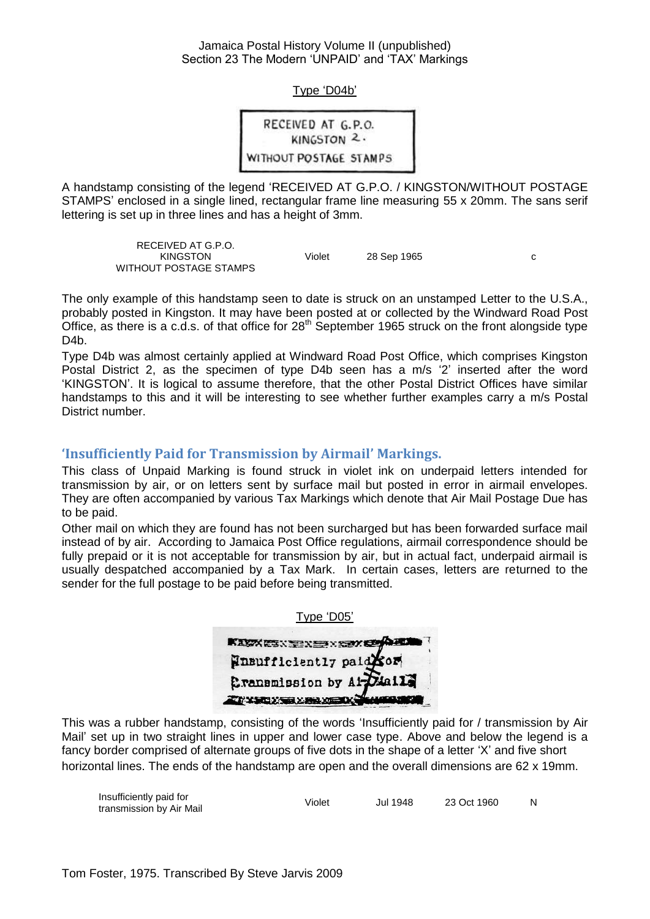Type 'D04b'

RECEIVED AT G.P.O. KINGSTON<sub>2</sub>. WITHOUT POSTAGE STAMPS

A handstamp consisting of the legend 'RECEIVED AT G.P.O. / KINGSTON/WITHOUT POSTAGE STAMPS' enclosed in a single lined, rectangular frame line measuring 55 x 20mm. The sans serif lettering is set up in three lines and has a height of 3mm.

> RECEIVED AT G.P.O. KINGSTON WITHOUT POSTAGE STAMPS Violet 28 Sep 1965 c

The only example of this handstamp seen to date is struck on an unstamped Letter to the U.S.A., probably posted in Kingston. It may have been posted at or collected by the Windward Road Post Office, as there is a c.d.s. of that office for  $28<sup>th</sup>$  September 1965 struck on the front alongside type D<sub>4</sub>b.

Type D4b was almost certainly applied at Windward Road Post Office, which comprises Kingston Postal District 2, as the specimen of type D4b seen has a m/s '2' inserted after the word 'KINGSTON'. It is logical to assume therefore, that the other Postal District Offices have similar handstamps to this and it will be interesting to see whether further examples carry a m/s Postal District number.

#### <span id="page-5-0"></span>**'Insufficiently Paid for Transmission by Airmail' Markings.**

This class of Unpaid Marking is found struck in violet ink on underpaid letters intended for transmission by air, or on letters sent by surface mail but posted in error in airmail envelopes. They are often accompanied by various Tax Markings which denote that Air Mail Postage Due has to be paid.

Other mail on which they are found has not been surcharged but has been forwarded surface mail instead of by air. According to Jamaica Post Office regulations, airmail correspondence should be fully prepaid or it is not acceptable for transmission by air, but in actual fact, underpaid airmail is usually despatched accompanied by a Tax Mark. In certain cases, letters are returned to the sender for the full postage to be paid before being transmitted.

| Type 'D05'                |
|---------------------------|
| KASKESNEREN SAY OG        |
| Ensufficiently paid com   |
| Cransmission by Al-Diails |
| ZI XICXI XILIM XIC        |

This was a rubber handstamp, consisting of the words 'Insufficiently paid for / transmission by Air Mail' set up in two straight lines in upper and lower case type. Above and below the legend is a fancy border comprised of alternate groups of five dots in the shape of a letter 'X' and five short horizontal lines. The ends of the handstamp are open and the overall dimensions are 62 x 19mm.

| Insufficiently paid for  | Violet | <b>Jul 1948</b> | 23 Oct 1960 |  |
|--------------------------|--------|-----------------|-------------|--|
| transmission by Air Mail |        |                 |             |  |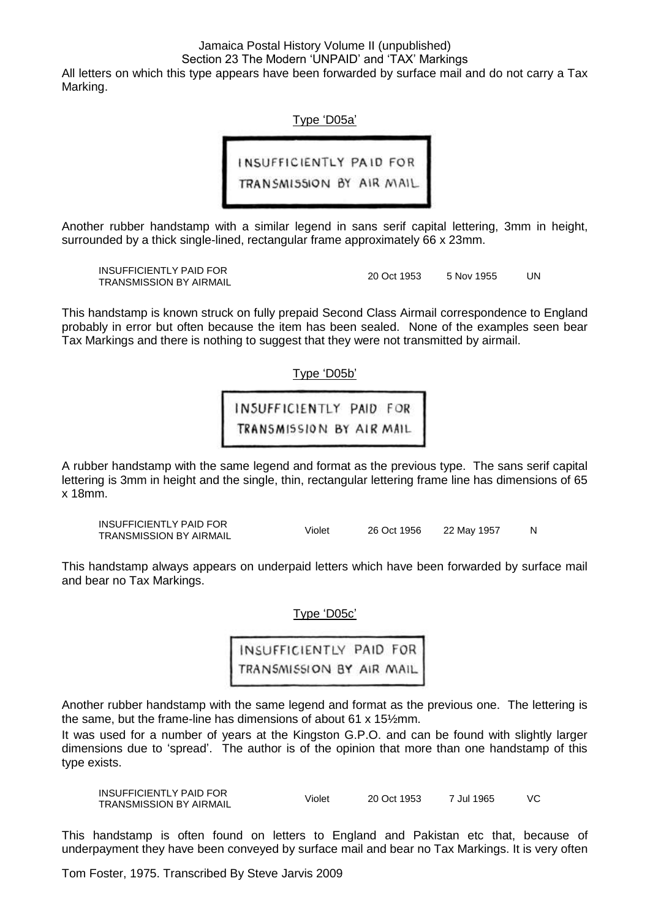All letters on which this type appears have been forwarded by surface mail and do not carry a Tax Marking.

Type 'D05a'

INSUFFICIENTLY PAID FOR TRANSMISSION BY AIR MAIL

Another rubber handstamp with a similar legend in sans serif capital lettering, 3mm in height, surrounded by a thick single-lined, rectangular frame approximately 66 x 23mm.

INSUFFICIENTLY PAID FOR

TRANSMISSION BY AIRMAIL **1990** 20 Oct 1953 5 Nov 1955 UN

This handstamp is known struck on fully prepaid Second Class Airmail correspondence to England probably in error but often because the item has been sealed. None of the examples seen bear Tax Markings and there is nothing to suggest that they were not transmitted by airmail.

Type 'D05b'

INSUFFICIENTLY PAID FOR TRANSMISSION BY AIR MAIL

A rubber handstamp with the same legend and format as the previous type. The sans serif capital lettering is 3mm in height and the single, thin, rectangular lettering frame line has dimensions of 65 x 18mm.

INSUFFICIENTLY PAID FOR INSUFFICIENTLY PAID FOR THE Violet 26 Oct 1956 22 May 1957 N<br>TRANSMISSION BY AIRMAIL

This handstamp always appears on underpaid letters which have been forwarded by surface mail and bear no Tax Markings.

Type 'D05c'

INSUFFICIENTLY PAID FOR TRANSMISSION BY AIR MAIL

Another rubber handstamp with the same legend and format as the previous one. The lettering is the same, but the frame-line has dimensions of about 61 x 15½mm.

It was used for a number of years at the Kingston G.P.O. and can be found with slightly larger dimensions due to 'spread'. The author is of the opinion that more than one handstamp of this type exists.

INSUFFICIENTLY PAID FOR TRANSMISSION BY AIRMAIL Violet 20 Oct 1953 7 Jul 1965 VC

This handstamp is often found on letters to England and Pakistan etc that, because of underpayment they have been conveyed by surface mail and bear no Tax Markings. It is very often

Tom Foster, 1975. Transcribed By Steve Jarvis 2009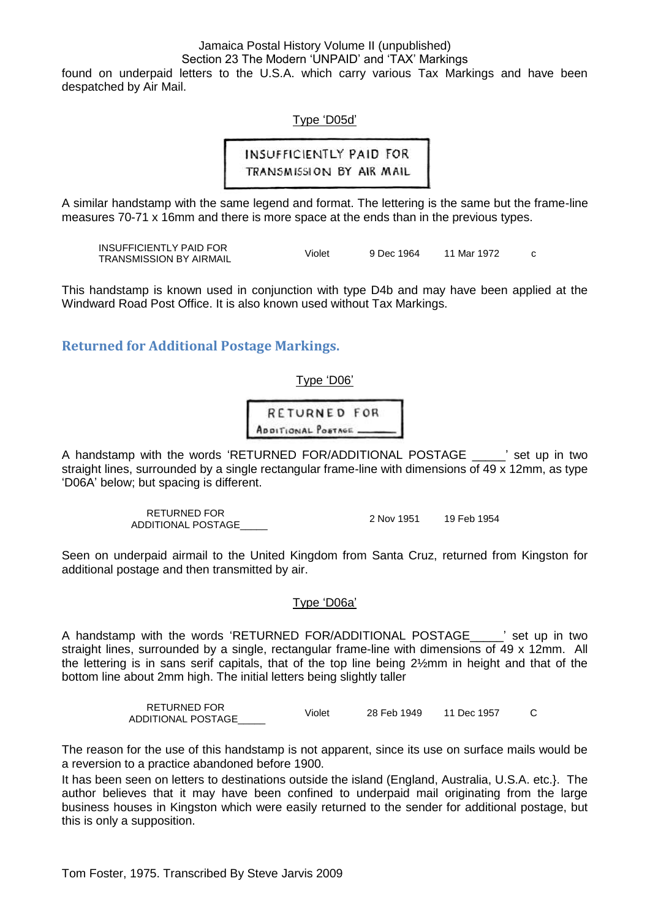found on underpaid letters to the U.S.A. which carry various Tax Markings and have been despatched by Air Mail.

Type 'D05d'

**INSUFFICIENTLY PAID FOR** TRANSMISSION BY AIR MAIL

A similar handstamp with the same legend and format. The lettering is the same but the frame-line measures 70-71 x 16mm and there is more space at the ends than in the previous types.

INSUFFICIENTLY PAID FOR TRANSMISSION BY AIRMAIL Violet 9 Dec 1964 <sup>11</sup> Mar 1972 <sup>c</sup>

This handstamp is known used in conjunction with type D4b and may have been applied at the Windward Road Post Office. It is also known used without Tax Markings.

<span id="page-7-0"></span>**Returned for Additional Postage Markings.**

Type 'D06'

**RETURNED FOR** ADDITIONAL POSTAGE

A handstamp with the words 'RETURNED FOR/ADDITIONAL POSTAGE is the up in two straight lines, surrounded by a single rectangular frame-line with dimensions of 49 x 12mm, as type 'D06A' below; but spacing is different.

> RETURNED FOR ADDITIONAL POSTAGE\_\_\_\_\_ 2 Nov 1951 19 Feb 1954

Seen on underpaid airmail to the United Kingdom from Santa Cruz, returned from Kingston for additional postage and then transmitted by air.

Type 'D06a'

A handstamp with the words 'RETURNED FOR/ADDITIONAL POSTAGE\_\_\_\_\_' set up in two straight lines, surrounded by a single, rectangular frame-line with dimensions of 49 x 12mm. All the lettering is in sans serif capitals, that of the top line being 2½mm in height and that of the bottom line about 2mm high. The initial letters being slightly taller

> RETURNED FOR ADDITIONAL POSTAGE\_\_\_\_\_\_ Violet 28 Feb 1949 11 Dec 1957 C

The reason for the use of this handstamp is not apparent, since its use on surface mails would be a reversion to a practice abandoned before 1900.

It has been seen on letters to destinations outside the island (England, Australia, U.S.A. etc.}. The author believes that it may have been confined to underpaid mail originating from the large business houses in Kingston which were easily returned to the sender for additional postage, but this is only a supposition.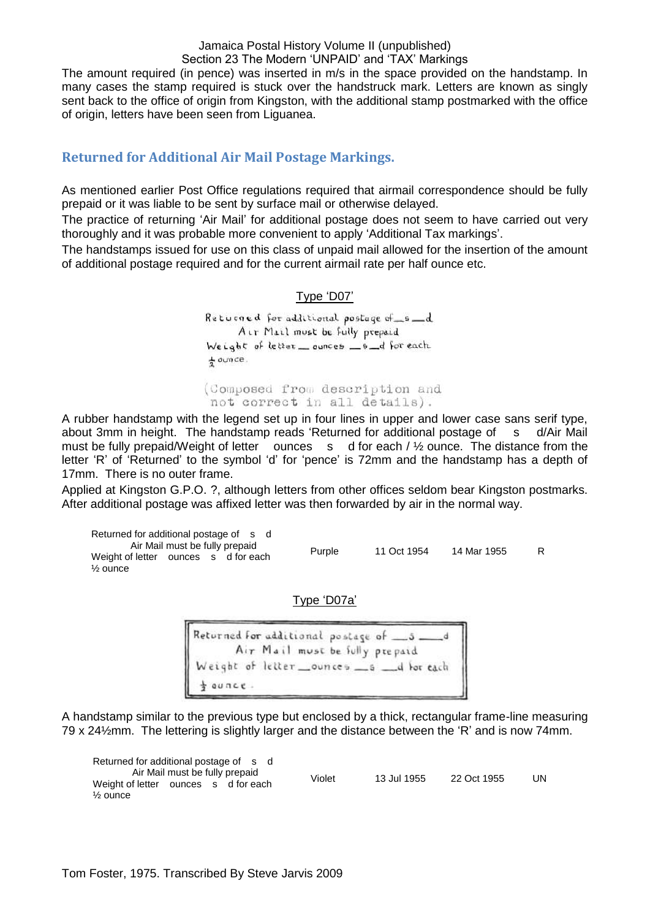The amount required (in pence) was inserted in m/s in the space provided on the handstamp. In many cases the stamp required is stuck over the handstruck mark. Letters are known as singly sent back to the office of origin from Kingston, with the additional stamp postmarked with the office of origin, letters have been seen from Liguanea.

#### <span id="page-8-0"></span>**Returned for Additional Air Mail Postage Markings.**

As mentioned earlier Post Office regulations required that airmail correspondence should be fully prepaid or it was liable to be sent by surface mail or otherwise delayed.

The practice of returning 'Air Mail' for additional postage does not seem to have carried out very thoroughly and it was probable more convenient to apply 'Additional Tax markings'.

The handstamps issued for use on this class of unpaid mail allowed for the insertion of the amount of additional postage required and for the current airmail rate per half ounce etc.

#### Type 'D07'

Returned for additional postage of 6 d Air Mail must be fully prepaid Weight of letter \_ ounces  $_6 - 6$  for each  $\frac{1}{2}$  ounce.

(Composed from description and not correct in all details).

A rubber handstamp with the legend set up in four lines in upper and lower case sans serif type, about 3mm in height. The handstamp reads 'Returned for additional postage of s d/Air Mail must be fully prepaid/Weight of letter ounces s d for each / 1/2 ounce. The distance from the letter 'R' of 'Returned' to the symbol 'd' for 'pence' is 72mm and the handstamp has a depth of 17mm. There is no outer frame.

Applied at Kingston G.P.O. ?, although letters from other offices seldom bear Kingston postmarks. After additional postage was affixed letter was then forwarded by air in the normal way.

Returned for additional postage of s d Air Mail must be fully prepaid Weight of letter ounces s d for each ½ ounce Purple 11 Oct 1954 14 Mar 1955 R

Type 'D07a'

Returned for additional postage of \_5. Air Mail must be fully prepaid eight of letter \_\_ ounces \_\_ s \_\_ d for each  $\omega$ ace.

A handstamp similar to the previous type but enclosed by a thick, rectangular frame-line measuring 79 x 24½mm. The lettering is slightly larger and the distance between the 'R' and is now 74mm.

| Returned for additional postage of s d |                                |  |        |             |             |    |
|----------------------------------------|--------------------------------|--|--------|-------------|-------------|----|
|                                        | Air Mail must be fully prepaid |  | Violet | 13 Jul 1955 | 22 Oct 1955 | UN |
| Weight of letter ounces s d for each   |                                |  |        |             |             |    |
| $\frac{1}{2}$ ounce                    |                                |  |        |             |             |    |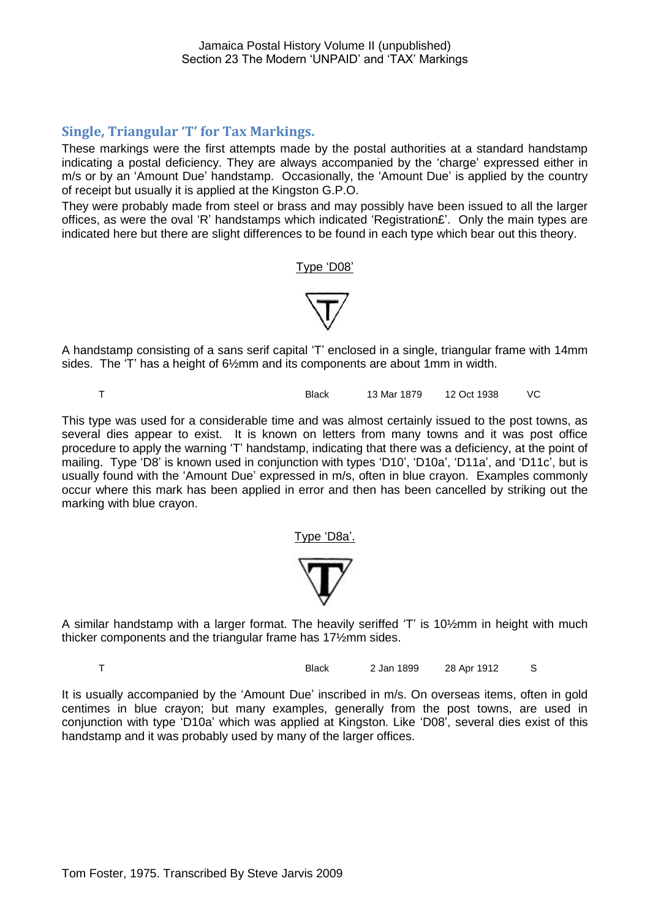#### <span id="page-9-0"></span>**Single, Triangular 'T' for Tax Markings.**

These markings were the first attempts made by the postal authorities at a standard handstamp indicating a postal deficiency. They are always accompanied by the 'charge' expressed either in m/s or by an 'Amount Due' handstamp. Occasionally, the 'Amount Due' is applied by the country of receipt but usually it is applied at the Kingston G.P.O.

They were probably made from steel or brass and may possibly have been issued to all the larger offices, as were the oval 'R' handstamps which indicated 'Registration£'. Only the main types are indicated here but there are slight differences to be found in each type which bear out this theory.

#### Type 'D08'



A handstamp consisting of a sans serif capital 'T' enclosed in a single, triangular frame with 14mm sides. The 'T' has a height of 6½mm and its components are about 1mm in width.

T Black 13 Mar 1879 12 Oct 1938 VC

This type was used for a considerable time and was almost certainly issued to the post towns, as several dies appear to exist. It is known on letters from many towns and it was post office procedure to apply the warning 'T' handstamp, indicating that there was a deficiency, at the point of mailing. Type 'D8' is known used in conjunction with types 'D10', 'D10a', 'D11a', and 'D11c', but is usually found with the 'Amount Due' expressed in m/s, often in blue crayon. Examples commonly occur where this mark has been applied in error and then has been cancelled by striking out the marking with blue crayon.

Type 'D8a

A similar handstamp with a larger format. The heavily seriffed 'T' is 10½mm in height with much thicker components and the triangular frame has 17½mm sides.

T Black 2 Jan 1899 28 Apr 1912 S

It is usually accompanied by the 'Amount Due' inscribed in m/s. On overseas items, often in gold centimes in blue crayon; but many examples, generally from the post towns, are used in conjunction with type 'D10a' which was applied at Kingston. Like 'D08', several dies exist of this handstamp and it was probably used by many of the larger offices.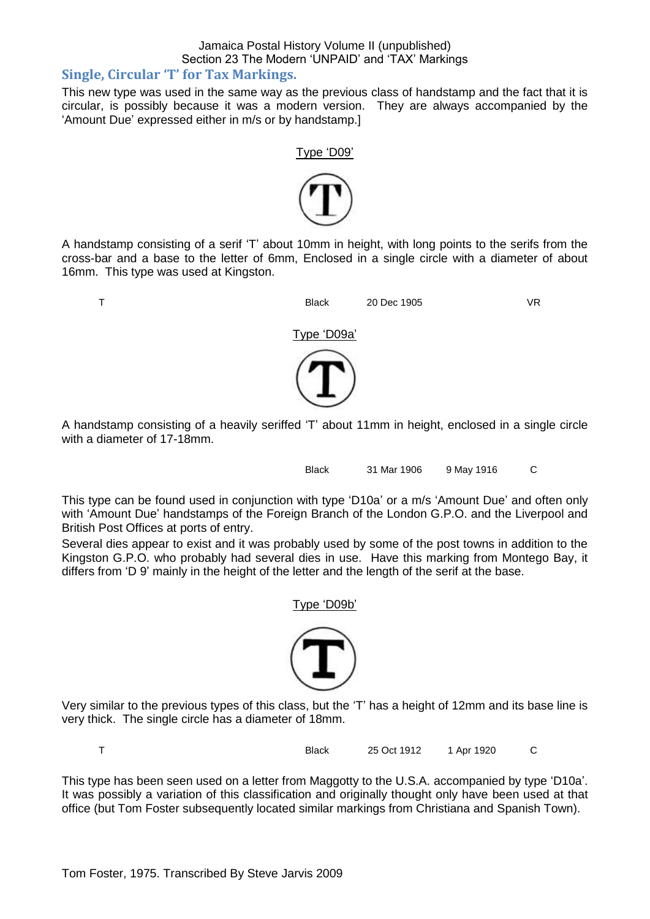#### <span id="page-10-0"></span>**Single, Circular 'T' for Tax Markings.**

This new type was used in the same way as the previous class of handstamp and the fact that it is circular, is possibly because it was a modern version. They are always accompanied by the 'Amount Due' expressed either in m/s or by handstamp.]



A handstamp consisting of a serif 'T' about 10mm in height, with long points to the serifs from the cross-bar and a base to the letter of 6mm, Enclosed in a single circle with a diameter of about 16mm. This type was used at Kingston.



A handstamp consisting of a heavily seriffed 'T' about 11mm in height, enclosed in a single circle with a diameter of 17-18mm.

Black 31 Mar 1906 9 May 1916 C

This type can be found used in conjunction with type 'D10a' or a m/s 'Amount Due' and often only with 'Amount Due' handstamps of the Foreign Branch of the London G.P.O. and the Liverpool and British Post Offices at ports of entry.

Several dies appear to exist and it was probably used by some of the post towns in addition to the Kingston G.P.O. who probably had several dies in use. Have this marking from Montego Bay, it differs from 'D 9' mainly in the height of the letter and the length of the serif at the base.



Type 'D09b'

Very similar to the previous types of this class, but the 'T' has a height of 12mm and its base line is very thick. The single circle has a diameter of 18mm.

T Black 25 Oct 1912 1 Apr 1920 C

This type has been seen used on a letter from Maggotty to the U.S.A. accompanied by type 'D10a'. It was possibly a variation of this classification and originally thought only have been used at that office (but Tom Foster subsequently located similar markings from Christiana and Spanish Town).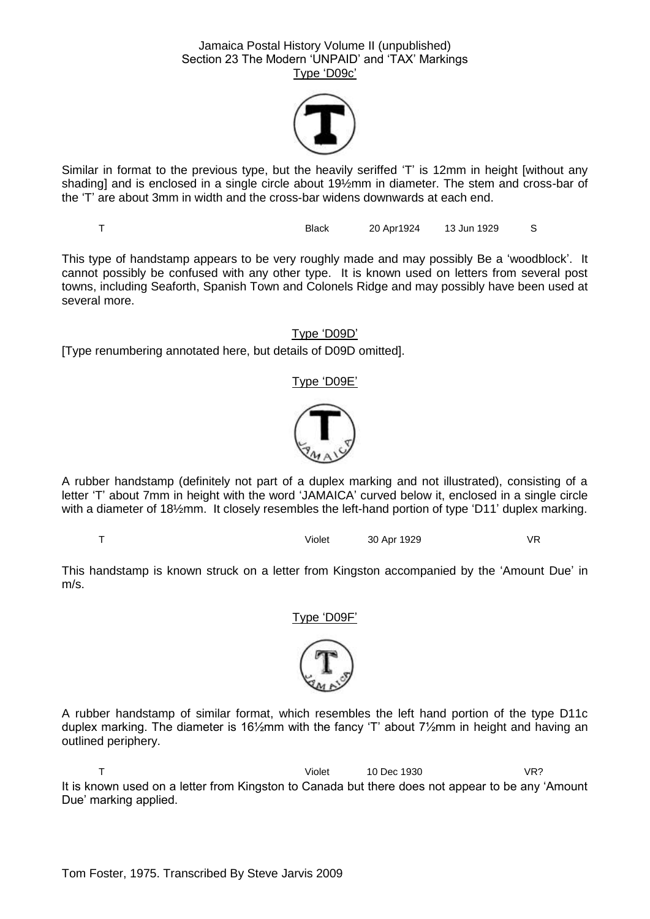

Similar in format to the previous type, but the heavily seriffed 'T' is 12mm in height [without any shading] and is enclosed in a single circle about 19½mm in diameter. The stem and cross-bar of the 'T' are about 3mm in width and the cross-bar widens downwards at each end.

T Black 20 Apr1924 13 Jun 1929 S

This type of handstamp appears to be very roughly made and may possibly Be a 'woodblock'. It cannot possibly be confused with any other type. It is known used on letters from several post towns, including Seaforth, Spanish Town and Colonels Ridge and may possibly have been used at several more.

Type 'D09D'

[Type renumbering annotated here, but details of D09D omitted].

#### Type 'D09E'



A rubber handstamp (definitely not part of a duplex marking and not illustrated), consisting of a letter 'T' about 7mm in height with the word 'JAMAICA' curved below it, enclosed in a single circle with a diameter of 18½mm. It closely resembles the left-hand portion of type 'D11' duplex marking.

T Violet 30 Apr 1929 VR

This handstamp is known struck on a letter from Kingston accompanied by the 'Amount Due' in m/s.

Type 'D09F'



A rubber handstamp of similar format, which resembles the left hand portion of the type D11c duplex marking. The diameter is 16½mm with the fancy 'T' about 7½mm in height and having an outlined periphery.

T Violet 10 Dec 1930 VR? It is known used on a letter from Kingston to Canada but there does not appear to be any 'Amount Due' marking applied.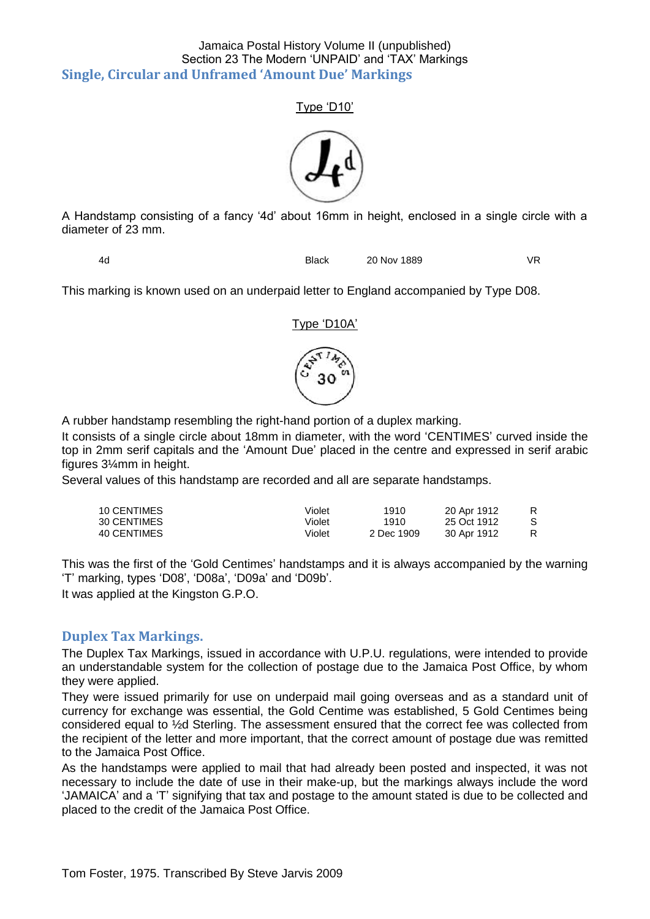#### <span id="page-12-0"></span>Jamaica Postal History Volume II (unpublished) Section 23 The Modern 'UNPAID' and 'TAX' Markings **Single, Circular and Unframed 'Amount Due' Markings**

#### Type 'D10'



A Handstamp consisting of a fancy '4d' about 16mm in height, enclosed in a single circle with a diameter of 23 mm.

4d Black 20 Nov 1889 VR

This marking is known used on an underpaid letter to England accompanied by Type D08.

#### Type 'D10A'



A rubber handstamp resembling the right-hand portion of a duplex marking.

It consists of a single circle about 18mm in diameter, with the word 'CENTIMES' curved inside the top in 2mm serif capitals and the 'Amount Due' placed in the centre and expressed in serif arabic figures 3¼mm in height.

Several values of this handstamp are recorded and all are separate handstamps.

| 10 CENTIMES | Violet | 1910       | 20 Apr 1912 |   |
|-------------|--------|------------|-------------|---|
| 30 CENTIMES | Violet | 1910       | 25 Oct 1912 |   |
| 40 CENTIMES | Violet | 2 Dec 1909 | 30 Apr 1912 | R |

This was the first of the 'Gold Centimes' handstamps and it is always accompanied by the warning 'T' marking, types 'D08', 'D08a', 'D09a' and 'D09b'.

It was applied at the Kingston G.P.O.

#### <span id="page-12-1"></span>**Duplex Tax Markings.**

The Duplex Tax Markings, issued in accordance with U.P.U. regulations, were intended to provide an understandable system for the collection of postage due to the Jamaica Post Office, by whom they were applied.

They were issued primarily for use on underpaid mail going overseas and as a standard unit of currency for exchange was essential, the Gold Centime was established, 5 Gold Centimes being considered equal to ½d Sterling. The assessment ensured that the correct fee was collected from the recipient of the letter and more important, that the correct amount of postage due was remitted to the Jamaica Post Office.

As the handstamps were applied to mail that had already been posted and inspected, it was not necessary to include the date of use in their make-up, but the markings always include the word 'JAMAICA' and a 'T' signifying that tax and postage to the amount stated is due to be collected and placed to the credit of the Jamaica Post Office.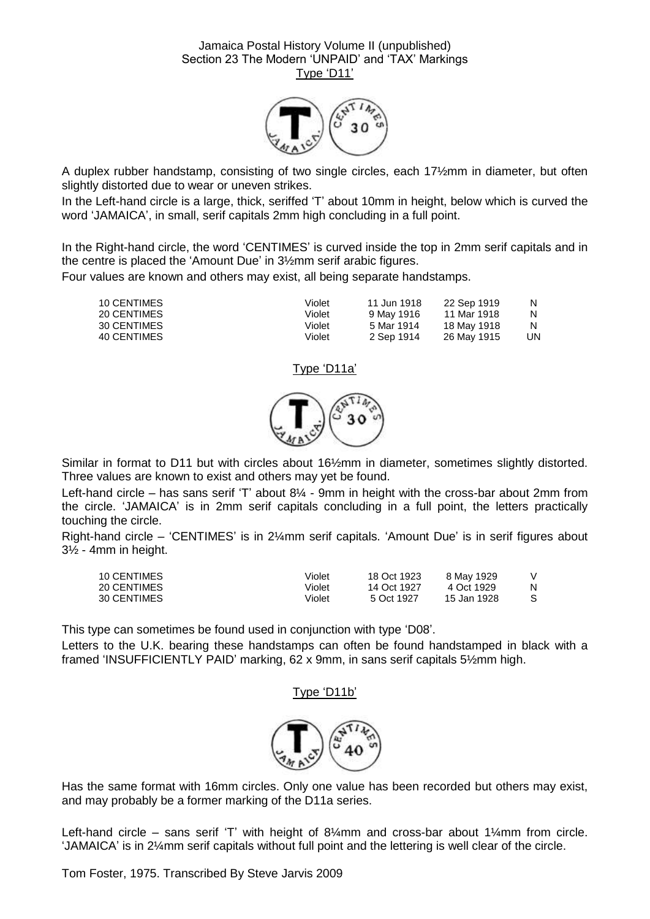

A duplex rubber handstamp, consisting of two single circles, each 17½mm in diameter, but often slightly distorted due to wear or uneven strikes.

In the Left-hand circle is a large, thick, seriffed 'T' about 10mm in height, below which is curved the word 'JAMAICA', in small, serif capitals 2mm high concluding in a full point.

In the Right-hand circle, the word 'CENTIMES' is curved inside the top in 2mm serif capitals and in the centre is placed the 'Amount Due' in 3½mm serif arabic figures.

Four values are known and others may exist, all being separate handstamps.

| 10 CENTIMES | Violet | 11 Jun 1918 | 22 Sep 1919 | N   |
|-------------|--------|-------------|-------------|-----|
| 20 CENTIMES | Violet | 9 May 1916  | 11 Mar 1918 | N   |
| 30 CENTIMES | Violet | 5 Mar 1914  | 18 May 1918 | N   |
| 40 CENTIMES | Violet | 2 Sep 1914  | 26 May 1915 | UN. |

#### Type 'D11a'



Similar in format to D11 but with circles about 16½mm in diameter, sometimes slightly distorted. Three values are known to exist and others may yet be found.

Left-hand circle – has sans serif 'T' about 8¼ - 9mm in height with the cross-bar about 2mm from the circle. 'JAMAICA' is in 2mm serif capitals concluding in a full point, the letters practically touching the circle.

Right-hand circle – 'CENTIMES' is in 2¼mm serif capitals. 'Amount Due' is in serif figures about 3½ - 4mm in height.

| 10 CENTIMES | Violet | 18 Oct 1923 | 8 May 1929  |  |
|-------------|--------|-------------|-------------|--|
| 20 CENTIMES | Violet | 14 Oct 1927 | 4 Oct 1929  |  |
| 30 CENTIMES | Violet | 5 Oct 1927  | 15 Jan 1928 |  |

This type can sometimes be found used in conjunction with type 'D08'.

Letters to the U.K. bearing these handstamps can often be found handstamped in black with a framed 'INSUFFICIENTLY PAID' marking, 62 x 9mm, in sans serif capitals 5½mm high.

#### Type 'D11b'



Has the same format with 16mm circles. Only one value has been recorded but others may exist, and may probably be a former marking of the D11a series.

Left-hand circle – sans serif 'T' with height of  $8\frac{1}{2}$ mm and cross-bar about 1 $\frac{1}{4}$ mm from circle. 'JAMAICA' is in 2¼mm serif capitals without full point and the lettering is well clear of the circle.

Tom Foster, 1975. Transcribed By Steve Jarvis 2009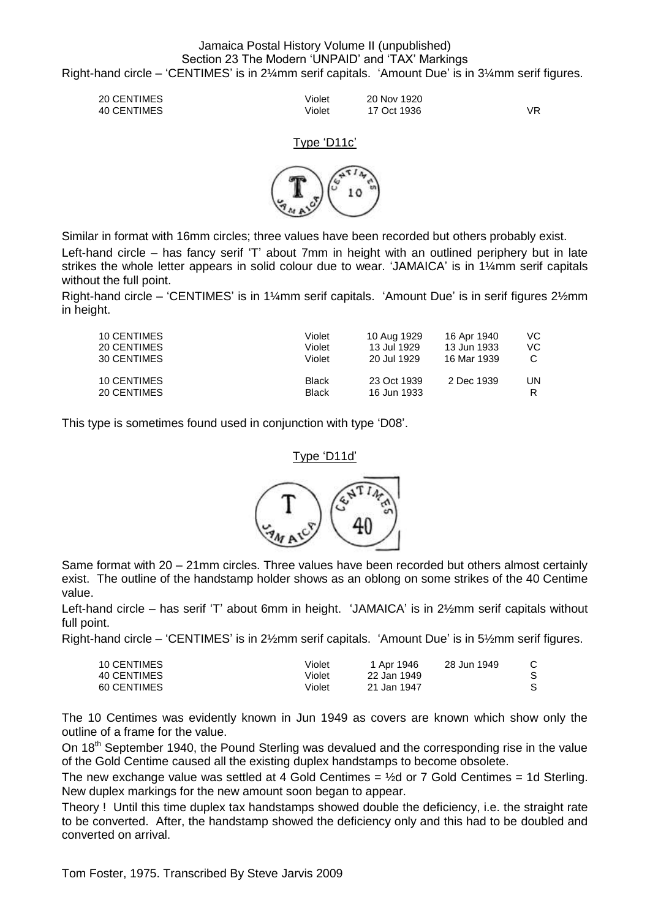#### Jamaica Postal History Volume II (unpublished) Section 23 The Modern 'UNPAID' and 'TAX' Markings Right-hand circle – 'CENTIMES' is in 2¼mm serif capitals. 'Amount Due' is in 3¼mm serif figures.

20 CENTIMES Violet 20 Nov 1920 40 CENTIMES Violet 17 Oct 1936 VR

#### Type 'D11c'



Similar in format with 16mm circles; three values have been recorded but others probably exist.

Left-hand circle – has fancy serif 'T' about 7mm in height with an outlined periphery but in late strikes the whole letter appears in solid colour due to wear. 'JAMAICA' is in 1¼mm serif capitals without the full point.

Right-hand circle – 'CENTIMES' is in 1¼mm serif capitals. 'Amount Due' is in serif figures 2½mm in height.

| 10 CENTIMES<br>20 CENTIMES<br>30 CENTIMES | Violet<br>Violet<br>Violet   | 10 Aug 1929<br>13 Jul 1929<br>20 Jul 1929 | 16 Apr 1940<br>13 Jun 1933<br>16 Mar 1939 | VC.<br>VC |
|-------------------------------------------|------------------------------|-------------------------------------------|-------------------------------------------|-----------|
| 10 CENTIMES<br>20 CENTIMES                | <b>Black</b><br><b>Black</b> | 23 Oct 1939<br>16 Jun 1933                | 2 Dec 1939                                | UN        |

This type is sometimes found used in conjunction with type 'D08'.

#### Type 'D11d'



Same format with 20 – 21mm circles. Three values have been recorded but others almost certainly exist. The outline of the handstamp holder shows as an oblong on some strikes of the 40 Centime value.

Left-hand circle – has serif 'T' about 6mm in height. 'JAMAICA' is in 2½mm serif capitals without full point.

Right-hand circle – 'CENTIMES' is in 2½mm serif capitals. 'Amount Due' is in 5½mm serif figures.

| 10 CENTIMES | Violet | 1 Apr 1946  | 28 Jun 1949 | C. |
|-------------|--------|-------------|-------------|----|
| 40 CENTIMES | Violet | 22 Jan 1949 |             |    |
| 60 CENTIMES | Violet | 21 Jan 1947 |             |    |

The 10 Centimes was evidently known in Jun 1949 as covers are known which show only the outline of a frame for the value.

On 18<sup>th</sup> September 1940, the Pound Sterling was devalued and the corresponding rise in the value of the Gold Centime caused all the existing duplex handstamps to become obsolete.

The new exchange value was settled at 4 Gold Centimes  $=$   $\frac{1}{2}$ d or 7 Gold Centimes  $=$  1d Sterling. New duplex markings for the new amount soon began to appear.

Theory ! Until this time duplex tax handstamps showed double the deficiency, i.e. the straight rate to be converted. After, the handstamp showed the deficiency only and this had to be doubled and converted on arrival.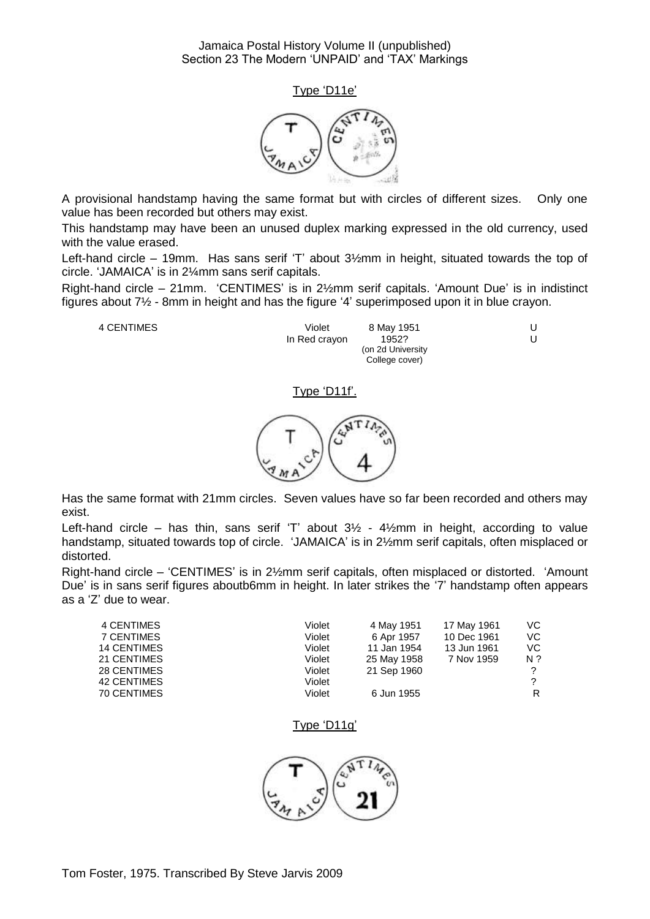



A provisional handstamp having the same format but with circles of different sizes. Only one value has been recorded but others may exist.

This handstamp may have been an unused duplex marking expressed in the old currency, used with the value erased.

Left-hand circle – 19mm. Has sans serif 'T' about 3½mm in height, situated towards the top of circle. 'JAMAICA' is in 2¼mm sans serif capitals.

Right-hand circle – 21mm. 'CENTIMES' is in 2½mm serif capitals. 'Amount Due' is in indistinct figures about 7½ - 8mm in height and has the figure '4' superimposed upon it in blue crayon.

4 CENTIMES Violet 8 May 1951 U In Red crayon 1952? (on 2d University College cover)

 $\cup$ 

Type 'D11f'.



Has the same format with 21mm circles. Seven values have so far been recorded and others may exist.

Left-hand circle – has thin, sans serif 'T' about  $3\frac{1}{2}$  -  $4\frac{1}{2}$ mm in height, according to value handstamp, situated towards top of circle. 'JAMAICA' is in 2½mm serif capitals, often misplaced or distorted.

Right-hand circle – 'CENTIMES' is in 2½mm serif capitals, often misplaced or distorted. 'Amount Due' is in sans serif figures aboutb6mm in height. In later strikes the '7' handstamp often appears as a 'Z' due to wear.

| Violet | 4 May 1951  | 17 May 1961 | VC.           |
|--------|-------------|-------------|---------------|
| Violet | 6 Apr 1957  | 10 Dec 1961 | VC.           |
| Violet | 11 Jan 1954 | 13 Jun 1961 | VC.           |
| Violet | 25 May 1958 | 7 Nov 1959  | N ?           |
| Violet | 21 Sep 1960 |             | $\mathcal{P}$ |
| Violet |             |             | 2             |
| Violet | 6 Jun 1955  |             | R.            |
|        |             |             |               |

#### Type 'D11g'

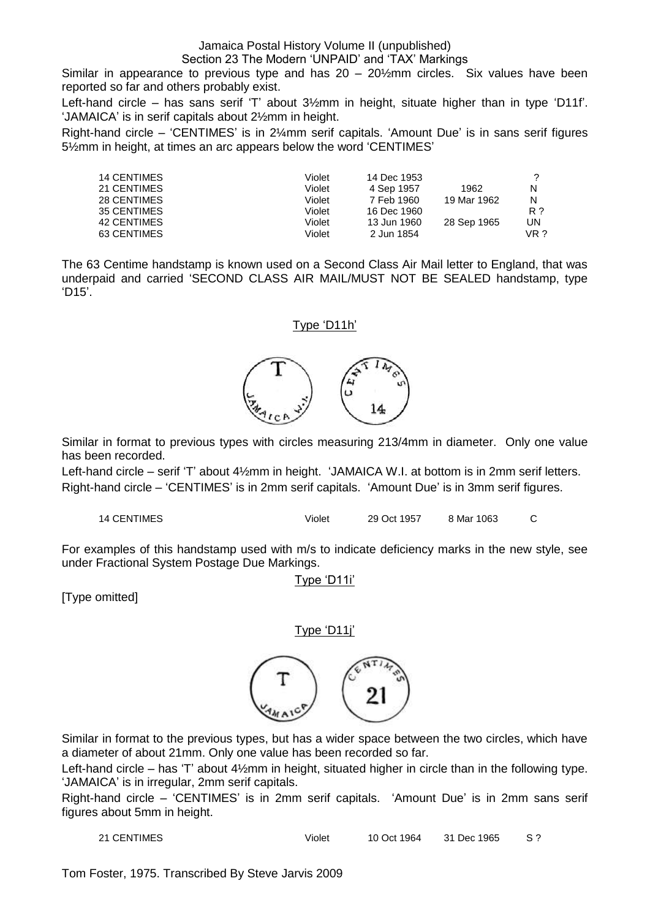### Jamaica Postal History Volume II (unpublished)

#### Section 23 The Modern 'UNPAID' and 'TAX' Markings

Similar in appearance to previous type and has  $20 - 20\frac{1}{2}$ mm circles. Six values have been reported so far and others probably exist.

Left-hand circle – has sans serif 'T' about 3½mm in height, situate higher than in type 'D11f'. 'JAMAICA' is in serif capitals about 2½mm in height.

Right-hand circle – 'CENTIMES' is in 2¼mm serif capitals. 'Amount Due' is in sans serif figures 5½mm in height, at times an arc appears below the word 'CENTIMES'

| <b>14 CENTIMES</b> | Violet | 14 Dec 1953 |             |      |
|--------------------|--------|-------------|-------------|------|
| 21 CENTIMES        | Violet | 4 Sep 1957  | 1962        | N    |
| 28 CENTIMES        | Violet | 7 Feb 1960  | 19 Mar 1962 | N    |
| 35 CENTIMES        | Violet | 16 Dec 1960 |             | R ?  |
| 42 CENTIMES        | Violet | 13 Jun 1960 | 28 Sep 1965 | UN   |
| 63 CENTIMES        | Violet | 2 Jun 1854  |             | VR ? |

The 63 Centime handstamp is known used on a Second Class Air Mail letter to England, that was underpaid and carried 'SECOND CLASS AIR MAIL/MUST NOT BE SEALED handstamp, type 'D15'.

#### Type 'D11h'



Similar in format to previous types with circles measuring 213/4mm in diameter. Only one value has been recorded.

Left-hand circle – serif 'T' about 4½mm in height. 'JAMAICA W.I. at bottom is in 2mm serif letters. Right-hand circle – 'CENTIMES' is in 2mm serif capitals. 'Amount Due' is in 3mm serif figures.

14 CENTIMES Violet 29 Oct 1957 8 Mar 1063 C

For examples of this handstamp used with m/s to indicate deficiency marks in the new style, see under Fractional System Postage Due Markings.

Type 'D11i'

[Type omitted]

Type 'D11j'



Similar in format to the previous types, but has a wider space between the two circles, which have a diameter of about 21mm. Only one value has been recorded so far.

Left-hand circle – has 'T' about 4½mm in height, situated higher in circle than in the following type. 'JAMAICA' is in irregular, 2mm serif capitals.

Right-hand circle – 'CENTIMES' is in 2mm serif capitals. 'Amount Due' is in 2mm sans serif figures about 5mm in height.

21 CENTIMES Violet 10 Oct 1964 31 Dec 1965 S ?

Tom Foster, 1975. Transcribed By Steve Jarvis 2009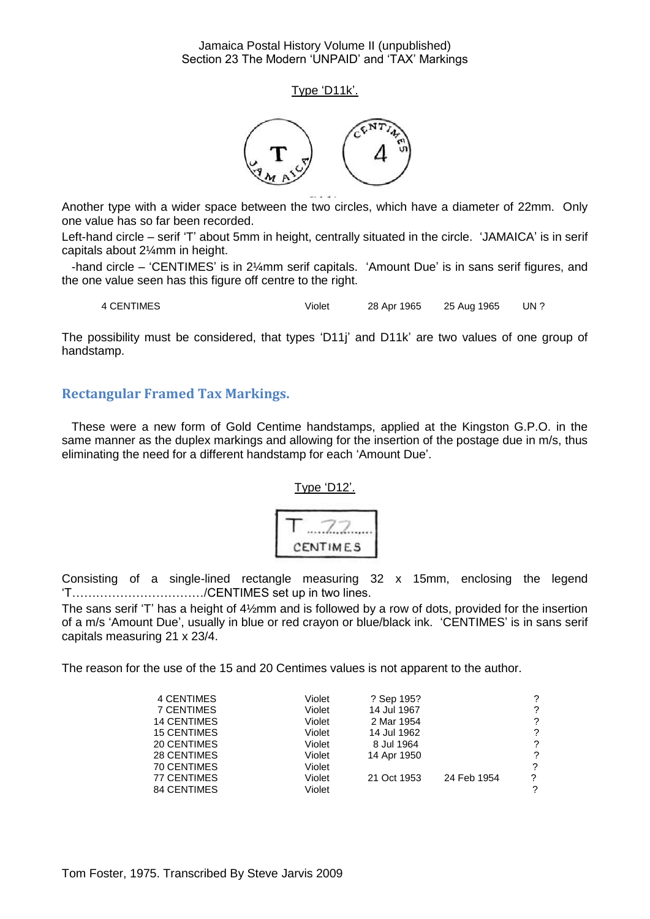Type 'D11k'.



Another type with a wider space between the two circles, which have a diameter of 22mm. Only one value has so far been recorded.

Left-hand circle – serif 'T' about 5mm in height, centrally situated in the circle. 'JAMAICA' is in serif capitals about 2¼mm in height.

 -hand circle – 'CENTIMES' is in 2¼mm serif capitals. 'Amount Due' is in sans serif figures, and the one value seen has this figure off centre to the right.

4 CENTIMES Violet 28 Apr 1965 25 Aug 1965 UN ?

The possibility must be considered, that types 'D11j' and D11k' are two values of one group of handstamp.

#### <span id="page-17-0"></span>**Rectangular Framed Tax Markings.**

 These were a new form of Gold Centime handstamps, applied at the Kingston G.P.O. in the same manner as the duplex markings and allowing for the insertion of the postage due in m/s, thus eliminating the need for a different handstamp for each 'Amount Due'.

Type 'D12'.

$$
\begin{array}{c}\nT.77. \\
\text{centimes}\n\end{array}
$$

Consisting of a single-lined rectangle measuring 32 x 15mm, enclosing the legend 'T……………………………/CENTIMES set up in two lines.

The sans serif 'T' has a height of  $4\frac{1}{2}$ mm and is followed by a row of dots, provided for the insertion of a m/s 'Amount Due', usually in blue or red crayon or blue/black ink. 'CENTIMES' is in sans serif capitals measuring 21 x 23/4.

The reason for the use of the 15 and 20 Centimes values is not apparent to the author.

| <b>4 CENTIMES</b>  | Violet | ? Sep 195?  |             | ? |
|--------------------|--------|-------------|-------------|---|
| 7 CENTIMES         | Violet | 14 Jul 1967 |             | ? |
| <b>14 CENTIMES</b> | Violet | 2 Mar 1954  |             | ? |
| <b>15 CENTIMES</b> | Violet | 14 Jul 1962 |             | ? |
| 20 CENTIMES        | Violet | 8 Jul 1964  |             | ? |
| 28 CENTIMES        | Violet | 14 Apr 1950 |             | ? |
| 70 CENTIMES        | Violet |             |             | ? |
| 77 CENTIMES        | Violet | 21 Oct 1953 | 24 Feb 1954 | ? |
| <b>84 CENTIMES</b> | Violet |             |             | ? |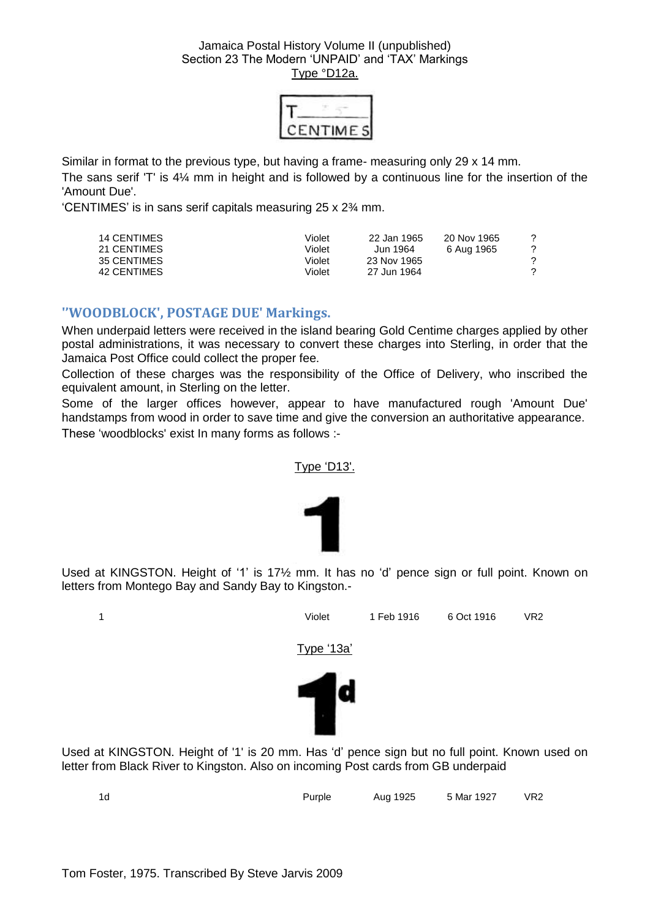| ٠. | VIIM |  |
|----|------|--|

Similar in format to the previous type, but having a frame- measuring only 29 x 14 mm. The sans serif 'T' is 4¼ mm in height and is followed by a continuous line for the insertion of the 'Amount Due'.

'CENTIMES' is in sans serif capitals measuring 25 x 2¾ mm.

| <b>14 CENTIMES</b><br>Violet<br>22 Jan 1965<br>21 CENTIMES<br>Violet<br>Jun 1964.<br>35 CENTIMES<br>Violet<br>23 Nov 1965<br>42 CENTIMES<br>Violet<br>27 Jun 1964 | 20 Nov 1965<br>6 Aug 1965 | 2<br>2 |
|-------------------------------------------------------------------------------------------------------------------------------------------------------------------|---------------------------|--------|
|-------------------------------------------------------------------------------------------------------------------------------------------------------------------|---------------------------|--------|

#### <span id="page-18-0"></span>**''WOODBLOCK', POSTAGE DUE' Markings.**

When underpaid letters were received in the island bearing Gold Centime charges applied by other postal administrations, it was necessary to convert these charges into Sterling, in order that the Jamaica Post Office could collect the proper fee.

Collection of these charges was the responsibility of the Office of Delivery, who inscribed the equivalent amount, in Sterling on the letter.

Some of the larger offices however, appear to have manufactured rough 'Amount Due' handstamps from wood in order to save time and give the conversion an authoritative appearance. These 'woodblocks' exist In many forms as follows :-

#### Type 'D13'.



Used at KINGSTON. Height of '1' is 17½ mm. It has no 'd' pence sign or full point. Known on letters from Montego Bay and Sandy Bay to Kingston.-



Used at KINGSTON. Height of '1' is 20 mm. Has 'd' pence sign but no full point. Known used on letter from Black River to Kingston. Also on incoming Post cards from GB underpaid

| Aug 1925 5 Mar 1927 VR2<br>Purple<br>1d |  |
|-----------------------------------------|--|
|-----------------------------------------|--|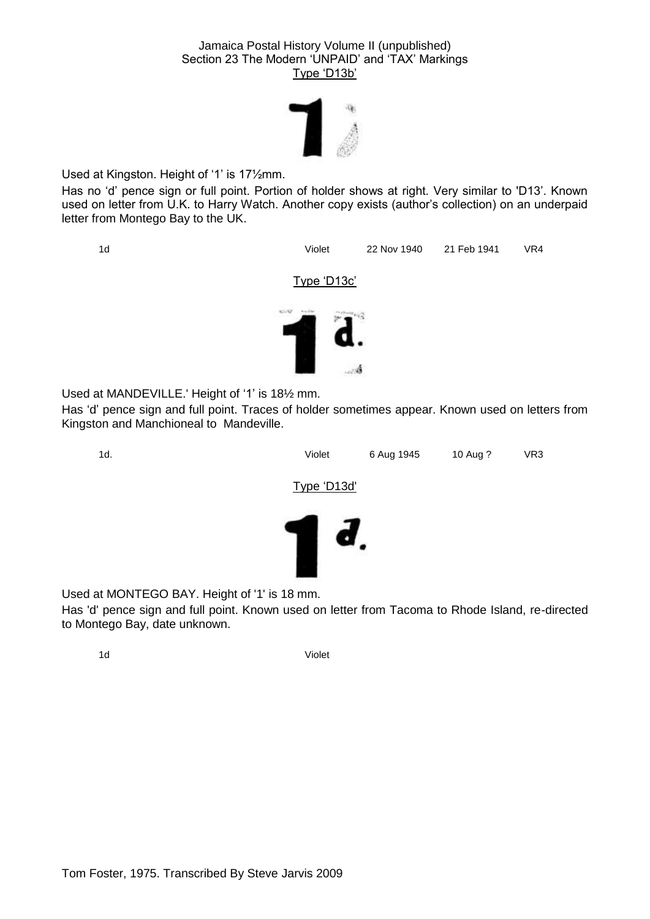

Used at Kingston. Height of '1' is 17½mm.

Has no 'd' pence sign or full point. Portion of holder shows at right. Very similar to 'D13'. Known used on letter from U.K. to Harry Watch. Another copy exists (author's collection) on an underpaid letter from Montego Bay to the UK.



Has 'd' pence sign and full point. Traces of holder sometimes appear. Known used on letters from Kingston and Manchioneal to Mandeville.



Used at MONTEGO BAY. Height of '1' is 18 mm.

Has 'd' pence sign and full point. Known used on letter from Tacoma to Rhode Island, re-directed to Montego Bay, date unknown.

1d Violet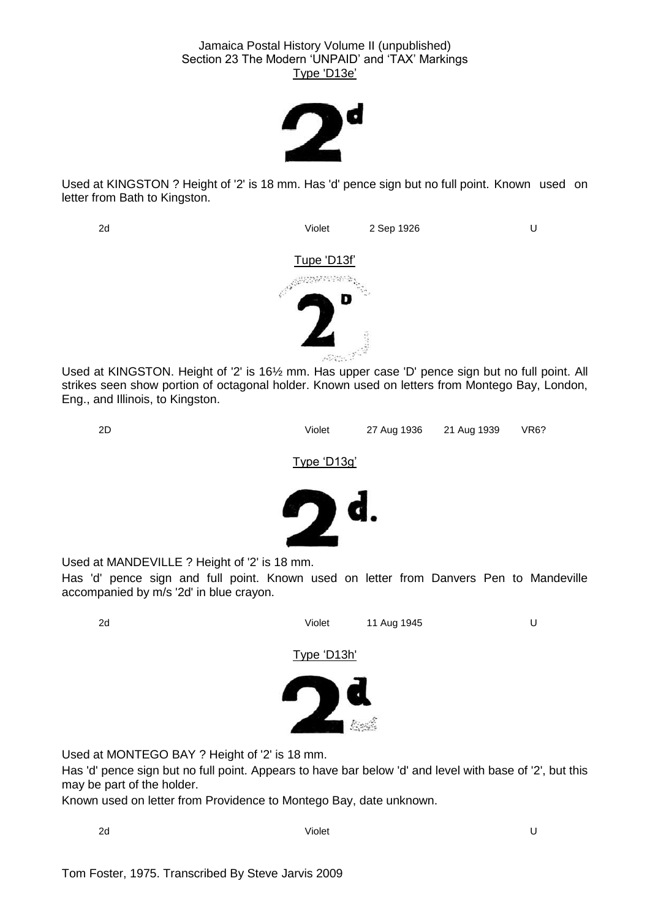

Used at KINGSTON ? Height of '2' is 18 mm. Has 'd' pence sign but no full point. Known used on letter from Bath to Kingston.

2d Violet 2 Sep 1926 U Tupe 'D13f'

Used at KINGSTON. Height of '2' is 16½ mm. Has upper case 'D' pence sign but no full point. All strikes seen show portion of octagonal holder. Known used on letters from Montego Bay, London, Eng., and Illinois, to Kingston.



Type 'D13g'



Used at MANDEVILLE ? Height of '2' is 18 mm.

Has 'd' pence sign and full point. Known used on letter from Danvers Pen to Mandeville accompanied by m/s '2d' in blue crayon.



Used at MONTEGO BAY ? Height of '2' is 18 mm.

Has 'd' pence sign but no full point. Appears to have bar below 'd' and level with base of '2', but this may be part of the holder.

Known used on letter from Providence to Montego Bay, date unknown.

2d Violet U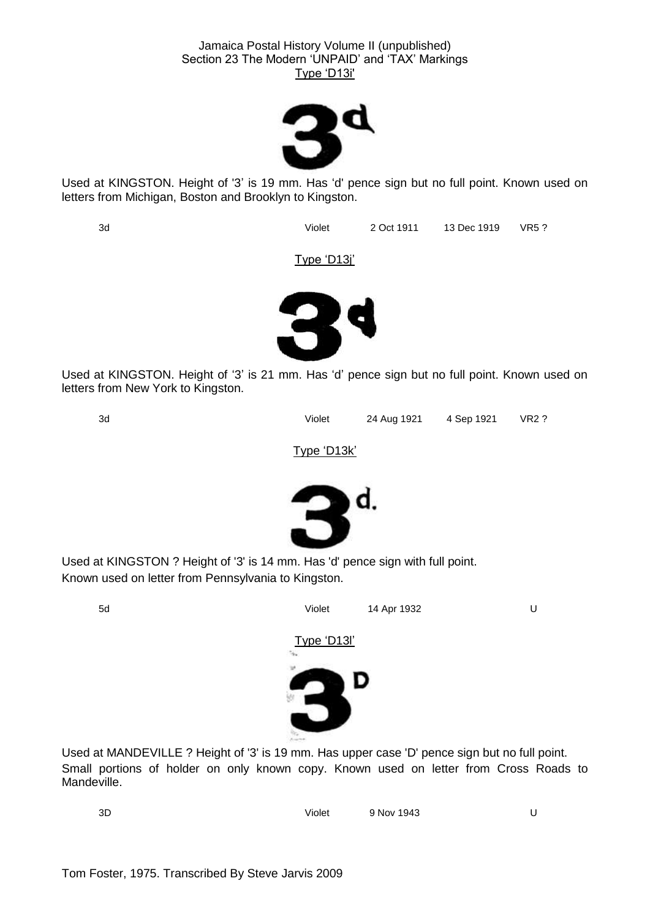

Used at KINGSTON. Height of '3' is 19 mm. Has 'd' pence sign but no full point. Known used on letters from Michigan, Boston and Brooklyn to Kingston.

3d Violet 2 Oct 1911 13 Dec 1919 VR5 ?

Type 'D13j'



Used at KINGSTON. Height of '3' is 21 mm. Has 'd' pence sign but no full point. Known used on letters from New York to Kingston.



3d Violet 24 Aug 1921 4 Sep 1921 VR2 ?

Type 'D13k'



Used at KINGSTON ? Height of '3' is 14 mm. Has 'd' pence sign with full point. Known used on letter from Pennsylvania to Kingston.



Used at MANDEVILLE ? Height of '3' is 19 mm. Has upper case 'D' pence sign but no full point. Small portions of holder on only known copy. Known used on letter from Cross Roads to Mandeville.

3D Violet 9 Nov 1943 U

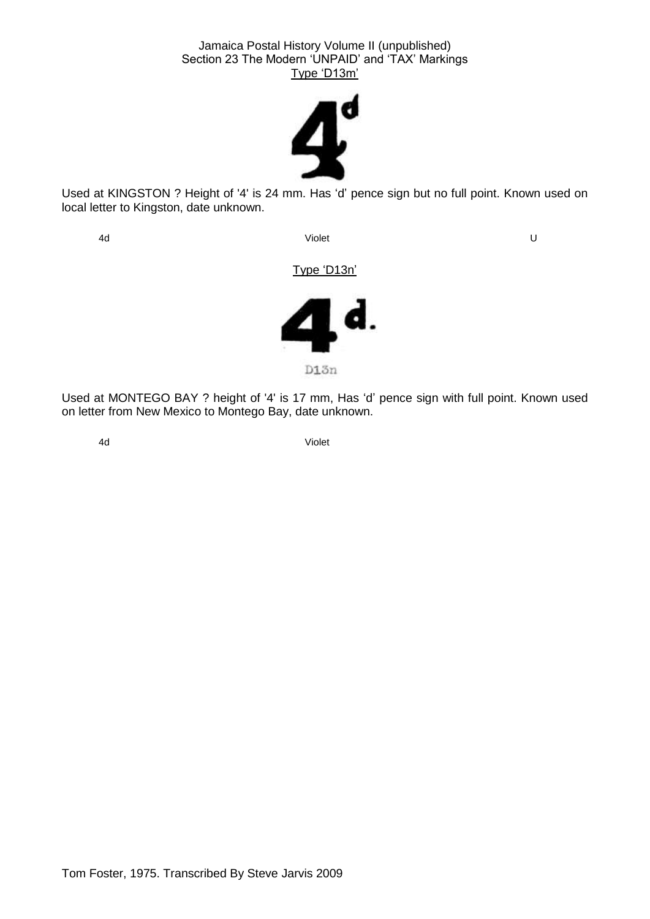

Used at KINGSTON ? Height of '4' is 24 mm. Has 'd' pence sign but no full point. Known used on local letter to Kingston, date unknown.

4d Violet U

Type 'D13n'



Used at MONTEGO BAY ? height of '4' is 17 mm, Has 'd' pence sign with full point. Known used on letter from New Mexico to Montego Bay, date unknown.

<span id="page-22-0"></span>

4d Violet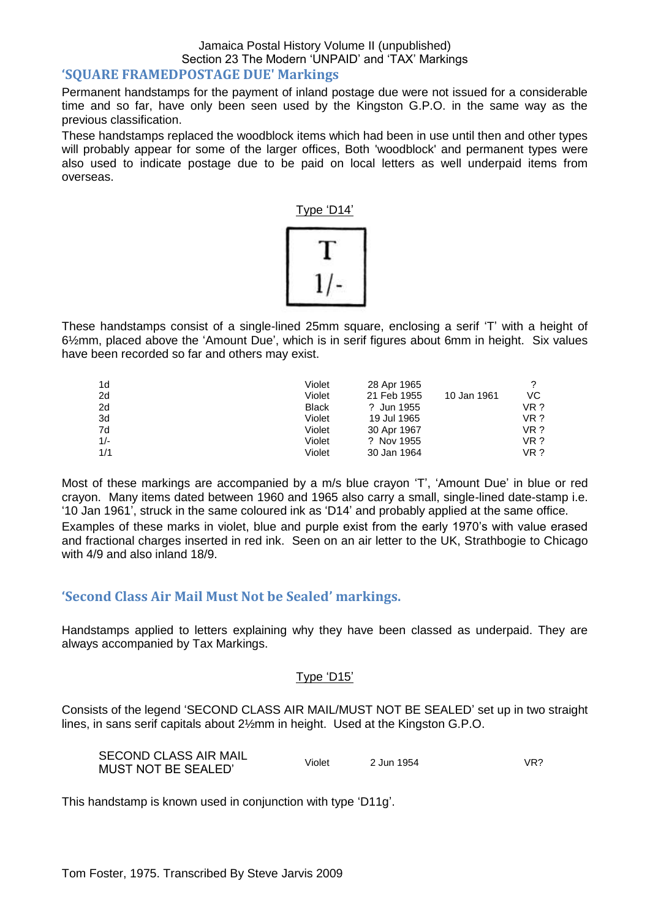#### Jamaica Postal History Volume II (unpublished) Section 23 The Modern 'UNPAID' and 'TAX' Markings **'SQUARE FRAMEDPOSTAGE DUE' Markings**

Permanent handstamps for the payment of inland postage due were not issued for a considerable time and so far, have only been seen used by the Kingston G.P.O. in the same way as the previous classification.

These handstamps replaced the woodblock items which had been in use until then and other types will probably appear for some of the larger offices, Both 'woodblock' and permanent types were also used to indicate postage due to be paid on local letters as well underpaid items from overseas.

Type 'D14'



These handstamps consist of a single-lined 25mm square, enclosing a serif 'T' with a height of 6½mm, placed above the 'Amount Due', which is in serif figures about 6mm in height. Six values have been recorded so far and others may exist.

| 1d    | Violet       | 28 Apr 1965 |             |      |
|-------|--------------|-------------|-------------|------|
| 2d    | Violet       | 21 Feb 1955 | 10 Jan 1961 | VC   |
| 2d    | <b>Black</b> | ? Jun 1955  |             | VR ? |
| 3d    | Violet       | 19 Jul 1965 |             | VR?  |
| 7d    | Violet       | 30 Apr 1967 |             | VR?  |
| $1/-$ | Violet       | ? Nov 1955  |             | VR?  |
| 1/1   | Violet       | 30 Jan 1964 |             | VR ? |

Most of these markings are accompanied by a m/s blue crayon 'T', 'Amount Due' in blue or red crayon. Many items dated between 1960 and 1965 also carry a small, single-lined date-stamp i.e. '10 Jan 1961', struck in the same coloured ink as 'D14' and probably applied at the same office. Examples of these marks in violet, blue and purple exist from the early 1970's with value erased and fractional charges inserted in red ink. Seen on an air letter to the UK, Strathbogie to Chicago with 4/9 and also inland 18/9.

#### <span id="page-23-0"></span>**'Second Class Air Mail Must Not be Sealed' markings.**

Handstamps applied to letters explaining why they have been classed as underpaid. They are always accompanied by Tax Markings.

#### Type 'D15'

Consists of the legend 'SECOND CLASS AIR MAIL/MUST NOT BE SEALED' set up in two straight lines, in sans serif capitals about 2½mm in height. Used at the Kingston G.P.O.

| <b>SECOND CLASS AIR MAIL</b> | Violet | 2 Jun 1954 | VR? |
|------------------------------|--------|------------|-----|
| MUST NOT BE SEALED'          |        |            |     |

This handstamp is known used in conjunction with type 'D11g'.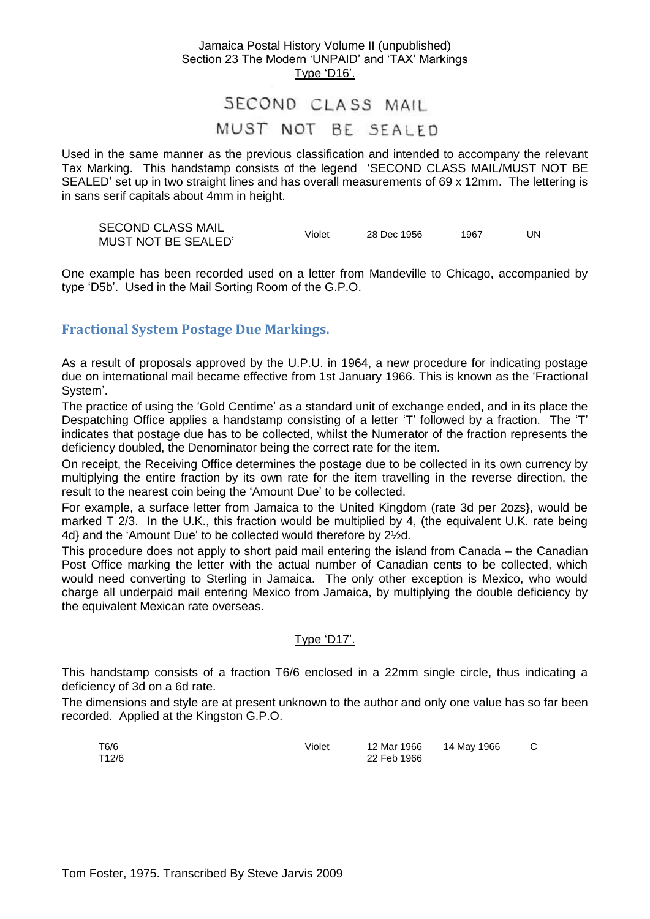### SECOND CLASS MAIL MUST NOT BE SEALED

Used in the same manner as the previous classification and intended to accompany the relevant Tax Marking. This handstamp consists of the legend 'SECOND CLASS MAIL/MUST NOT BE SEALED' set up in two straight lines and has overall measurements of 69 x 12mm. The lettering is in sans serif capitals about 4mm in height.

| <b>SECOND CLASS MAIL</b> | Violet | 28 Dec 1956 | 1967 |  |
|--------------------------|--------|-------------|------|--|
| MUST NOT BE SEALED'      |        |             |      |  |

One example has been recorded used on a letter from Mandeville to Chicago, accompanied by type 'D5b'. Used in the Mail Sorting Room of the G.P.O.

#### <span id="page-24-0"></span>**Fractional System Postage Due Markings.**

As a result of proposals approved by the U.P.U. in 1964, a new procedure for indicating postage due on international mail became effective from 1st January 1966. This is known as the 'Fractional System'.

The practice of using the 'Gold Centime' as a standard unit of exchange ended, and in its place the Despatching Office applies a handstamp consisting of a letter 'T' followed by a fraction. The 'T' indicates that postage due has to be collected, whilst the Numerator of the fraction represents the deficiency doubled, the Denominator being the correct rate for the item.

On receipt, the Receiving Office determines the postage due to be collected in its own currency by multiplying the entire fraction by its own rate for the item travelling in the reverse direction, the result to the nearest coin being the 'Amount Due' to be collected.

For example, a surface letter from Jamaica to the United Kingdom (rate 3d per 2ozs}, would be marked T 2/3. In the U.K., this fraction would be multiplied by 4, (the equivalent U.K. rate being 4d} and the 'Amount Due' to be collected would therefore by 2½d.

This procedure does not apply to short paid mail entering the island from Canada – the Canadian Post Office marking the letter with the actual number of Canadian cents to be collected, which would need converting to Sterling in Jamaica. The only other exception is Mexico, who would charge all underpaid mail entering Mexico from Jamaica, by multiplying the double deficiency by the equivalent Mexican rate overseas.

#### Type 'D17'.

This handstamp consists of a fraction T6/6 enclosed in a 22mm single circle, thus indicating a deficiency of 3d on a 6d rate.

The dimensions and style are at present unknown to the author and only one value has so far been recorded. Applied at the Kingston G.P.O.

| T6/6<br>T12/6 | Violet | 12 Mar 1966<br>22 Feb 1966 | 14 May 1966 |  |
|---------------|--------|----------------------------|-------------|--|
|               |        |                            |             |  |